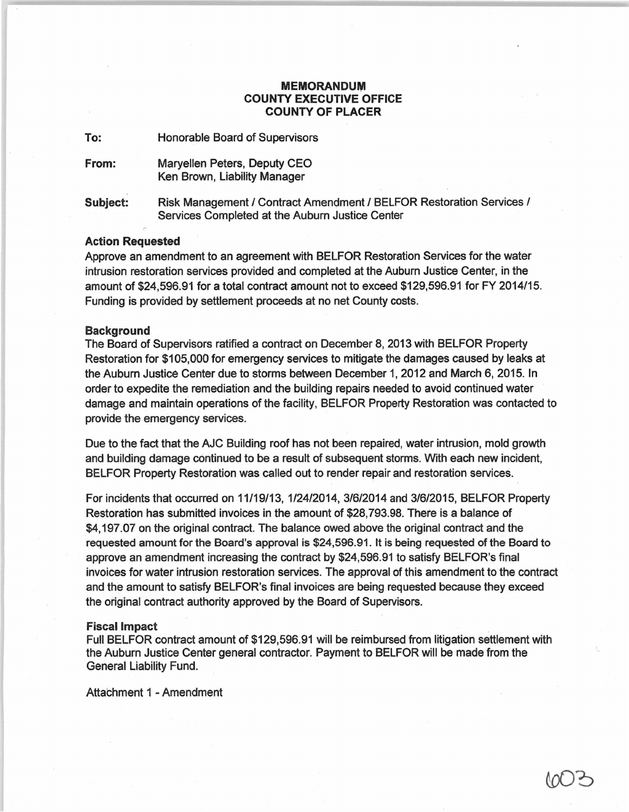## **MEMORANDUM** COUNTY EXECUTIVE OFFICE COUNTY OF PLACER

To: Honorable Board of Supervisors

From: Maryellen Peters, Deputy CEO Ken Brown, Liability Manager

Subject: Risk Management / Contract Amendment / BELFOR Restoration Services / Services Completed at the Auburn Justice Center

### Action Requested

Approve an amendment to an agreement with BELFOR Restoration Services for the water intrusion restoration services provided and completed at the Auburn Justice Center, in the amount of \$24,596.91 for a total contract amount not to exceed \$129,596.91 for FY 2014115. Funding is provided by settlement proceeds at no net County costs.

#### Background

The Board of Supervisors ratified a contract on December 8, 2013 with BELFOR Property Restoration for \$105,000 for emergency services to mitigate the damages caused by leaks at the Auburn Justice Center due to storms between December 1, 2012 and March 6, 2015. In order to expedite the remediation and the puilding repairs needed to avoid continued water damage and maintain operations of the facility, BELFOR Property Restoration was contacted to provide the emergency services.

Due to the fact that the AJC Building roof has not been repaired, water intrusion, mold growth and building damage continued to be a result of subsequent storms. With each new incident, BELFOR Property Restoration was called out to render repair and restoration services.

For incidents that occurred on 11119/13, 112412014, 31612014 and 3/612015, BELFOR Property Restoration has submitted invoices in the amount of \$28,793.98. There is a balance of \$4,197.07 on the original contract. The balance owed above the original contract and the requested amount for the Board's approval is \$24,596.91. It is being requested of the Board to approve an amendment increasing the contract by \$24,596.91 to satisfy BELFOR's final invoices for water intrusion restoration services. The approval of this amendment to the contract and the amount to satisfy BELFOR's final invoices are being requested because they exceed the original contract authority approved by the Board of Supervisors.

#### Fiscal Impact

Full BELFOR contract amount of \$129,596.91 will be reimbursed from litigation settlement with the Auburn Justice Center general contractor. Payment to BELFOR will be made from the General Liability Fund.

Attachment 1 - Amendment